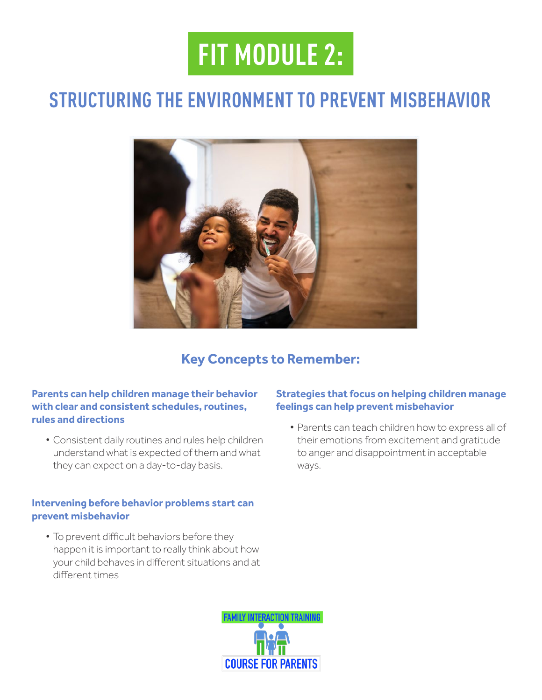# **FIT MODULE 2:**

### **STRUCTURING THE ENVIRONMENT TO PREVENT MISBEHAVIOR**



### **Key Concepts to Remember:**

#### **Parents can help children manage their behavior with clear and consistent schedules, routines, rules and directions**

• Consistent daily routines and rules help children understand what is expected of them and what they can expect on a day-to-day basis.

#### **Intervening before behavior problems start can prevent misbehavior**

• To prevent difficult behaviors before they happen it is important to really think about how your child behaves in diferent situations and at diferent times

# **AMILY INTERACTION TRAINING**

#### **Strategies that focus on helping children manage feelings can help prevent misbehavior**

• Parents can teach children how to express all of their emotions from excitement and gratitude to anger and disappointment in acceptable ways.

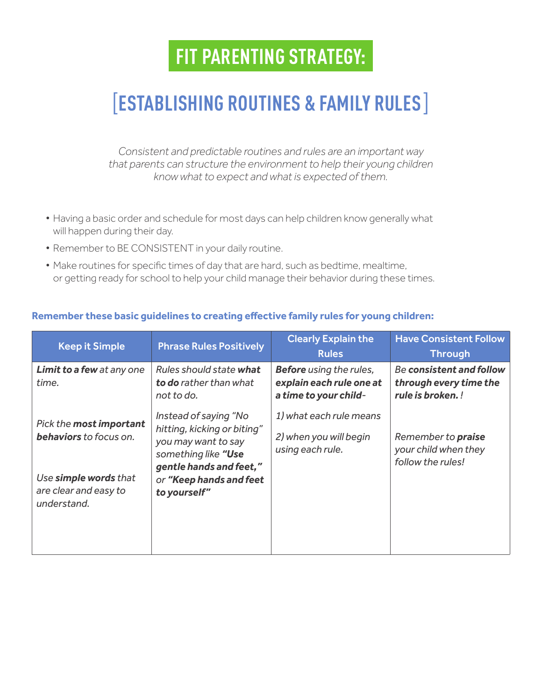### [**ESTABLISHING ROUTINES & FAMILY RULES**]

*Consistent and predictable routines and rules are an important way that parents can structure the environment to help their young children know what to expect and what is expected of them.*

- Having a basic order and schedule for most days can help children know generally what will happen during their day.
- Remember to BE CONSISTENT in your daily routine.
- Make routines for specifc times of day that are hard, such as bedtime, mealtime, or getting ready for school to help your child manage their behavior during these times.

#### **Remember these basic guidelines to creating efective family rules for young children:**

| <b>Keep it Simple</b>                                         | <b>Phrase Rules Positively</b>                                                                                                | <b>Clearly Explain the</b><br><b>Rules</b>                                          | <b>Have Consistent Follow</b><br><b>Through</b>                                |
|---------------------------------------------------------------|-------------------------------------------------------------------------------------------------------------------------------|-------------------------------------------------------------------------------------|--------------------------------------------------------------------------------|
| Limit to a few at any one<br>time.                            | Rules should state what<br>to do rather than what<br>not to do.                                                               | <b>Before</b> using the rules,<br>explain each rule one at<br>a time to your child- | <b>Be consistent and follow</b><br>through every time the<br>rule is broken. ! |
| Pick the most important<br><b>behaviors</b> to focus on.      | Instead of saying "No<br>hitting, kicking or biting"<br>you may want to say<br>something like "Use<br>gentle hands and feet," | 1) what each rule means<br>2) when you will begin<br>using each rule.               | Remember to <b>praise</b><br>your child when they<br>follow the rules!         |
| Use simple words that<br>are clear and easy to<br>understand. | or "Keep hands and feet<br>to yourself"                                                                                       |                                                                                     |                                                                                |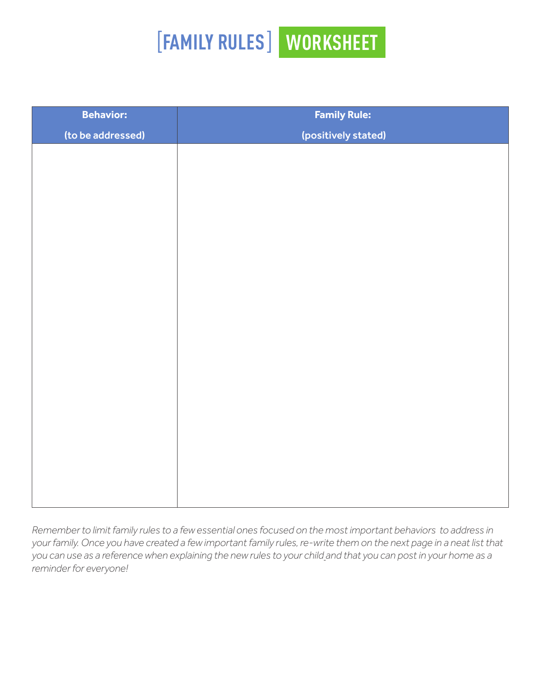# [**FAMILY RULES**] **WORKSHEET**

| <b>Behavior:</b>  | <b>Family Rule:</b> |
|-------------------|---------------------|
| (to be addressed) | (positively stated) |
|                   |                     |
|                   |                     |
|                   |                     |
|                   |                     |
|                   |                     |
|                   |                     |
|                   |                     |
|                   |                     |
|                   |                     |
|                   |                     |
|                   |                     |
|                   |                     |
|                   |                     |
|                   |                     |
|                   |                     |
|                   |                     |
|                   |                     |
|                   |                     |
|                   |                     |

*Remember to limit family rules to a few essential ones focused on the most important behaviors to address in your family. Once you have created a few important family rules, re-write them on the next page in a neat list that you can use as a reference when explaining the new rules to your child and that you can post in your home as a reminder for everyone!*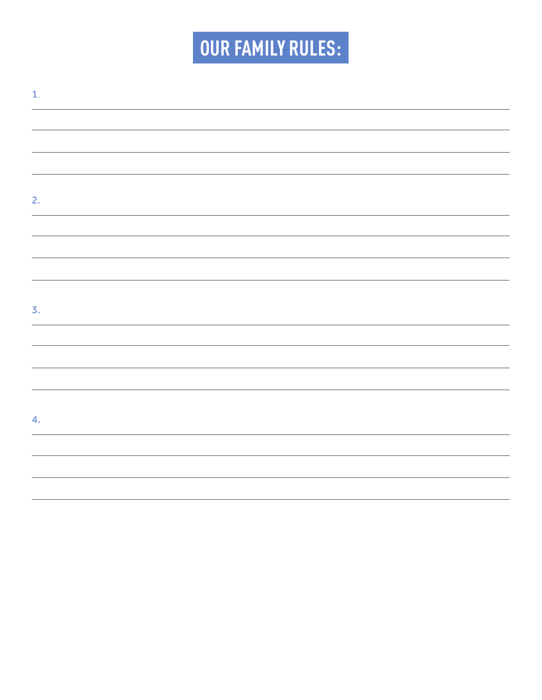# **OUR FAMILY RULES:**

| $\mathbf{1}$ .   |  |  |  |
|------------------|--|--|--|
|                  |  |  |  |
|                  |  |  |  |
|                  |  |  |  |
|                  |  |  |  |
| 2.               |  |  |  |
|                  |  |  |  |
|                  |  |  |  |
|                  |  |  |  |
|                  |  |  |  |
| $\overline{3}$ . |  |  |  |
|                  |  |  |  |
|                  |  |  |  |
|                  |  |  |  |
|                  |  |  |  |
| 4.               |  |  |  |
|                  |  |  |  |
|                  |  |  |  |
|                  |  |  |  |
|                  |  |  |  |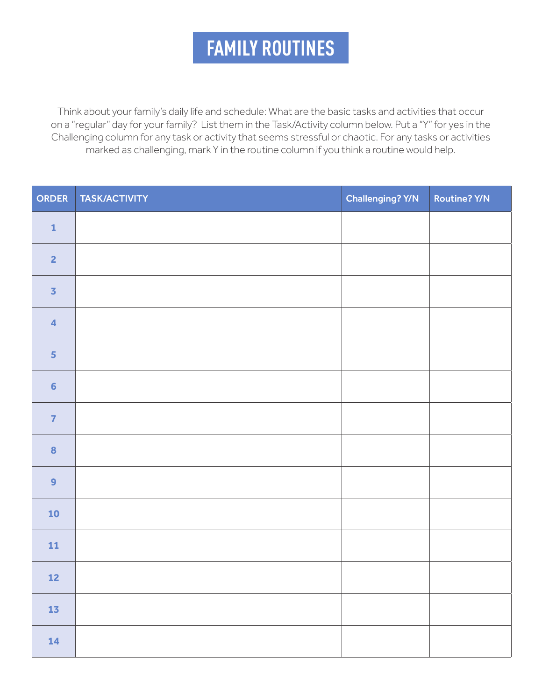### **FAMILY ROUTINES**

Think about your family's daily life and schedule: What are the basic tasks and activities that occur on a "regular" day for your family? List them in the Task/Activity column below. Put a "Y" for yes in the Challenging column for any task or activity that seems stressful or chaotic. For any tasks or activities marked as challenging, mark Y in the routine column if you think a routine would help.

| ORDER                   | TASK/ACTIVITY | Challenging? Y/N | <b>Routine? Y/N</b> |
|-------------------------|---------------|------------------|---------------------|
| $\mathbf 1$             |               |                  |                     |
| $\overline{2}$          |               |                  |                     |
| $\overline{\mathbf{3}}$ |               |                  |                     |
| $\overline{\mathbf{4}}$ |               |                  |                     |
| $\overline{\mathbf{5}}$ |               |                  |                     |
| $6\phantom{a}$          |               |                  |                     |
| $\overline{7}$          |               |                  |                     |
| $\bf{8}$                |               |                  |                     |
| $\overline{9}$          |               |                  |                     |
| 10                      |               |                  |                     |
| 11                      |               |                  |                     |
| 12                      |               |                  |                     |
| $\bf 13$                |               |                  |                     |
| $14$                    |               |                  |                     |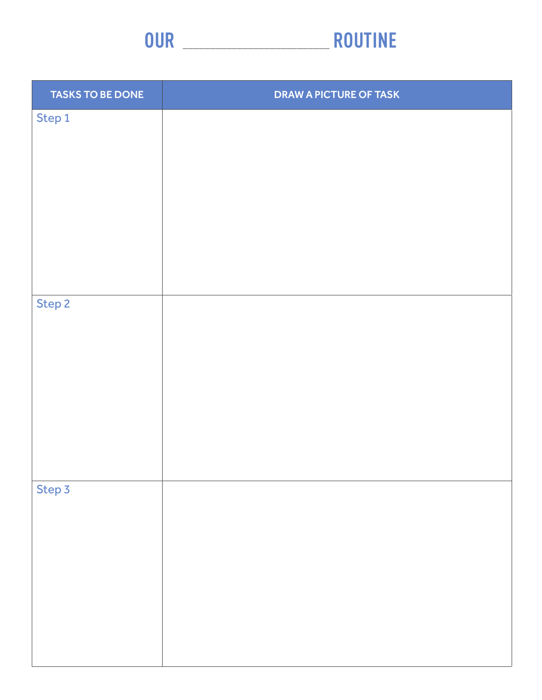

| <b>TASKS TO BE DONE</b> | <b>DRAW A PICTURE OF TASK</b> |
|-------------------------|-------------------------------|
| Step 1                  |                               |
|                         |                               |
|                         |                               |
|                         |                               |
|                         |                               |
|                         |                               |
|                         |                               |
|                         |                               |
| Step 2                  |                               |
|                         |                               |
|                         |                               |
|                         |                               |
|                         |                               |
|                         |                               |
|                         |                               |
| Step 3                  |                               |
|                         |                               |
|                         |                               |
|                         |                               |
|                         |                               |
|                         |                               |
|                         |                               |
|                         |                               |

<u> 1989 - John Harry Harry Harry Harry Harry Harry Harry Harry Harry Harry Harry Harry Harry Harry Harry Harry H</u>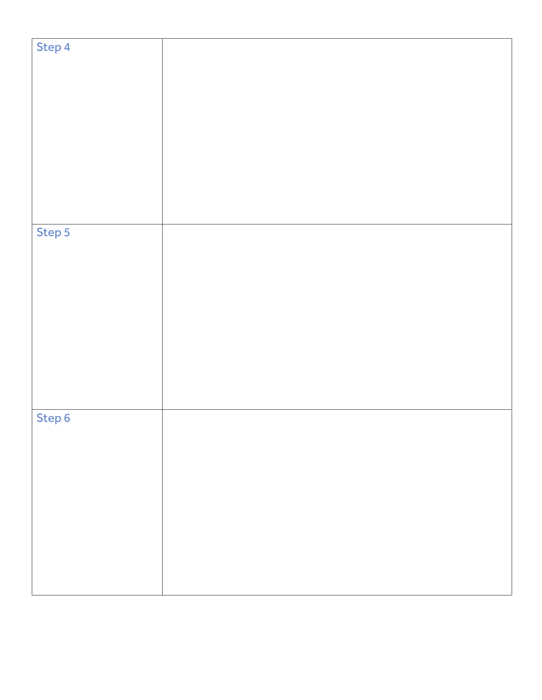| Step 4 |  |
|--------|--|
|        |  |
|        |  |
|        |  |
|        |  |
|        |  |
|        |  |
|        |  |
|        |  |
|        |  |
|        |  |
|        |  |
|        |  |
|        |  |
|        |  |
|        |  |
|        |  |
|        |  |
|        |  |
|        |  |
|        |  |
|        |  |
|        |  |
|        |  |
|        |  |
|        |  |
| Step 5 |  |
|        |  |
|        |  |
|        |  |
|        |  |
|        |  |
|        |  |
|        |  |
|        |  |
|        |  |
|        |  |
|        |  |
|        |  |
|        |  |
|        |  |
|        |  |
|        |  |
|        |  |
|        |  |
|        |  |
|        |  |
|        |  |
|        |  |
|        |  |
|        |  |
|        |  |
| Step 6 |  |
|        |  |
|        |  |
|        |  |
|        |  |
|        |  |
|        |  |
|        |  |
|        |  |
|        |  |
|        |  |
|        |  |
|        |  |
|        |  |
|        |  |
|        |  |
|        |  |
|        |  |
|        |  |
|        |  |
|        |  |
|        |  |
|        |  |
|        |  |
|        |  |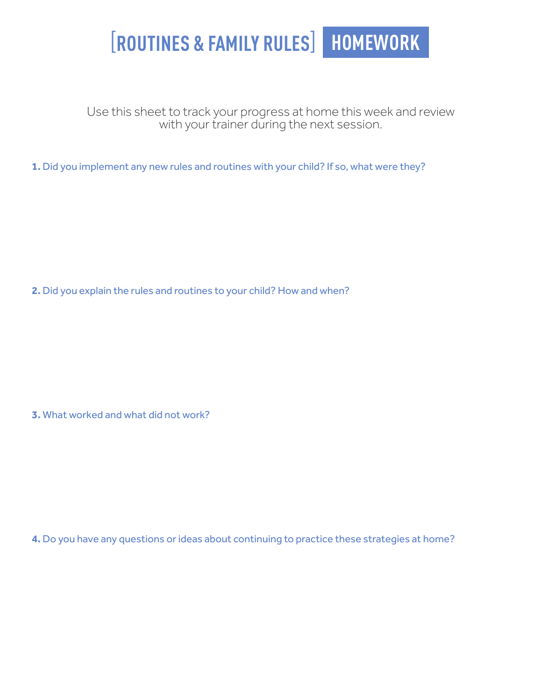## [**ROUTINES & FAMILY RULES**] **HOMEWORK**

Use this sheet to track your progress at home this week and review with your trainer during the next session.

**1.** Did you implement any new rules and routines with your child? If so, what were they?

**2.** Did you explain the rules and routines to your child? How and when?

**3.** What worked and what did not work?

**4.** Do you have any questions or ideas about continuing to practice these strategies at home?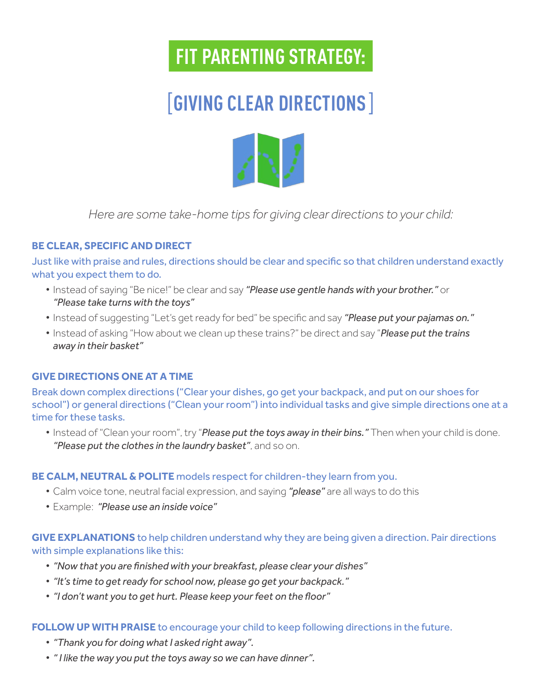### [**GIVING CLEAR DIRECTIONS**]



*Here are some take-home tips for giving clear directions to your child:*

#### **BE CLEAR, SPECIFIC AND DIRECT**

Just like with praise and rules, directions should be clear and specifc so that children understand exactly what you expect them to do.

- Instead of saying "Be nice!" be clear and say *"Please use gentle hands with your brother."* or *"Please take turns with the toys"*
- Instead of suggesting "Let's get ready for bed" be specifc and say *"Please put your pajamas on."*
- Instead of asking "How about we clean up these trains?" be direct and say "*Please put the trains away in their basket"*

#### **GIVE DIRECTIONS ONE AT A TIME**

Break down complex directions ("Clear your dishes, go get your backpack, and put on our shoes for school") or general directions ("Clean your room") into individual tasks and give simple directions one at a time for these tasks.

• Instead of "Clean your room", try "*Please put the toys away in their bins."* Then when your child is done. *"Please put the clothes in the laundry basket"*, and so on.

#### **BE CALM, NEUTRAL & POLITE** models respect for children-they learn from you.

- Calm voice tone, neutral facial expression, and saying *"please"* are all ways to do this
- Example: *"Please use an inside voice"*

#### **GIVE EXPLANATIONS** to help children understand why they are being given a direction. Pair directions with simple explanations like this:

- *"Now that you are fnished with your breakfast, please clear your dishes"*
- *"It's time to get ready for school now, please go get your backpack."*
- *"I don't want you to get hurt. Please keep your feet on the foor"*

#### **FOLLOW UP WITH PRAISE** to encourage your child to keep following directions in the future.

- *"Thank you for doing what I asked right away".*
- *" I like the way you put the toys away so we can have dinner".*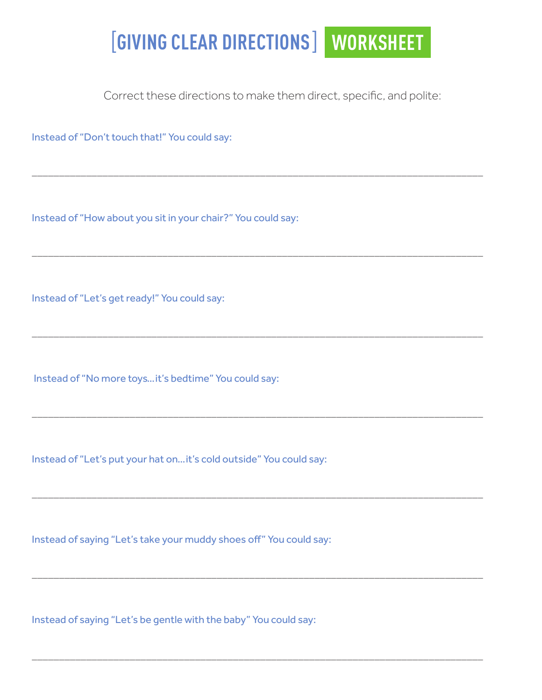### [**GIVING CLEAR DIRECTIONS**] **WORKSHEET**

Correct these directions to make them direct, specifc, and polite:

\_\_\_\_\_\_\_\_\_\_\_\_\_\_\_\_\_\_\_\_\_\_\_\_\_\_\_\_\_\_\_\_\_\_\_\_\_\_\_\_\_\_\_\_\_\_\_\_\_\_\_\_\_\_\_\_\_\_\_\_\_\_\_\_\_\_\_\_\_\_\_\_\_\_\_\_\_\_\_\_\_\_\_

\_\_\_\_\_\_\_\_\_\_\_\_\_\_\_\_\_\_\_\_\_\_\_\_\_\_\_\_\_\_\_\_\_\_\_\_\_\_\_\_\_\_\_\_\_\_\_\_\_\_\_\_\_\_\_\_\_\_\_\_\_\_\_\_\_\_\_\_\_\_\_\_\_\_\_\_\_\_\_\_\_\_\_

\_\_\_\_\_\_\_\_\_\_\_\_\_\_\_\_\_\_\_\_\_\_\_\_\_\_\_\_\_\_\_\_\_\_\_\_\_\_\_\_\_\_\_\_\_\_\_\_\_\_\_\_\_\_\_\_\_\_\_\_\_\_\_\_\_\_\_\_\_\_\_\_\_\_\_\_\_\_\_\_\_\_\_

\_\_\_\_\_\_\_\_\_\_\_\_\_\_\_\_\_\_\_\_\_\_\_\_\_\_\_\_\_\_\_\_\_\_\_\_\_\_\_\_\_\_\_\_\_\_\_\_\_\_\_\_\_\_\_\_\_\_\_\_\_\_\_\_\_\_\_\_\_\_\_\_\_\_\_\_\_\_\_\_\_\_\_

\_\_\_\_\_\_\_\_\_\_\_\_\_\_\_\_\_\_\_\_\_\_\_\_\_\_\_\_\_\_\_\_\_\_\_\_\_\_\_\_\_\_\_\_\_\_\_\_\_\_\_\_\_\_\_\_\_\_\_\_\_\_\_\_\_\_\_\_\_\_\_\_\_\_\_\_\_\_\_\_\_\_\_

\_\_\_\_\_\_\_\_\_\_\_\_\_\_\_\_\_\_\_\_\_\_\_\_\_\_\_\_\_\_\_\_\_\_\_\_\_\_\_\_\_\_\_\_\_\_\_\_\_\_\_\_\_\_\_\_\_\_\_\_\_\_\_\_\_\_\_\_\_\_\_\_\_\_\_\_\_\_\_\_\_\_\_

\_\_\_\_\_\_\_\_\_\_\_\_\_\_\_\_\_\_\_\_\_\_\_\_\_\_\_\_\_\_\_\_\_\_\_\_\_\_\_\_\_\_\_\_\_\_\_\_\_\_\_\_\_\_\_\_\_\_\_\_\_\_\_\_\_\_\_\_\_\_\_\_\_\_\_\_\_\_\_\_\_\_\_

Instead of "Don't touch that!" You could say:

Instead of "How about you sit in your chair?" You could say:

Instead of "Let's get ready!" You could say:

Instead of "No more toys…it's bedtime" You could say:

Instead of "Let's put your hat on…it's cold outside" You could say:

Instead of saying "Let's take your muddy shoes of" You could say:

Instead of saying "Let's be gentle with the baby" You could say: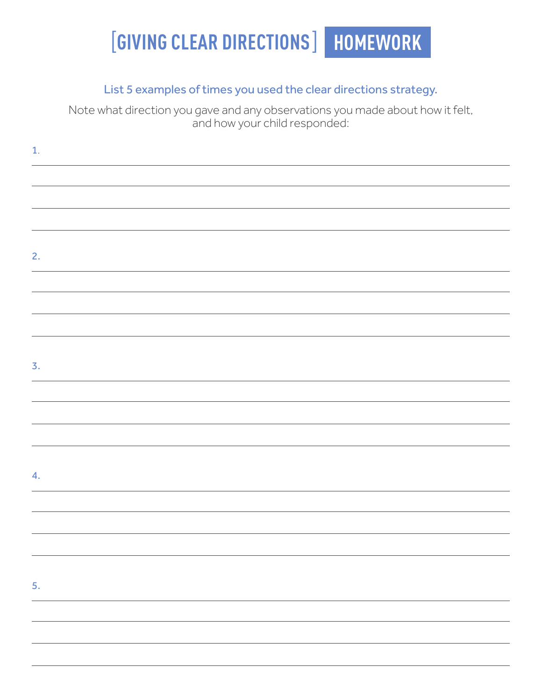## [**GIVING CLEAR DIRECTIONS**] **HOMEWORK**

### List 5 examples of times you used the clear directions strategy.

Note what direction you gave and any observations you made about how it felt, and how your child responded:

| $\mathbf{1}$ . |  |  |
|----------------|--|--|
|                |  |  |
|                |  |  |
|                |  |  |
|                |  |  |
| 2.             |  |  |
|                |  |  |
|                |  |  |
|                |  |  |
|                |  |  |
| 3.             |  |  |
|                |  |  |
|                |  |  |
|                |  |  |
|                |  |  |
| 4.             |  |  |
|                |  |  |
|                |  |  |
|                |  |  |
|                |  |  |
| 5.             |  |  |
|                |  |  |
|                |  |  |
|                |  |  |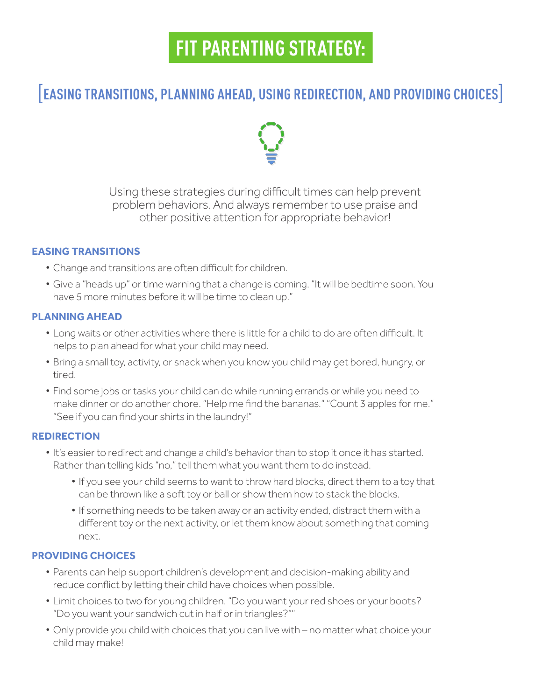### [**EASING TRANSITIONS, PLANNING AHEAD, USING REDIRECTION, AND PROVIDING CHOICES**]



Using these strategies during difficult times can help prevent problem behaviors. And always remember to use praise and other positive attention for appropriate behavior!

#### **EASING TRANSITIONS**

- Change and transitions are often difficult for children.
- Give a "heads up" or time warning that a change is coming. "It will be bedtime soon. You have 5 more minutes before it will be time to clean up."

#### **PLANNING AHEAD**

- Long waits or other activities where there is little for a child to do are often difficult. It helps to plan ahead for what your child may need.
- Bring a small toy, activity, or snack when you know you child may get bored, hungry, or tired.
- Find some jobs or tasks your child can do while running errands or while you need to make dinner or do another chore. "Help me fnd the bananas." "Count 3 apples for me." "See if you can fnd your shirts in the laundry!"

#### **REDIRECTION**

- It's easier to redirect and change a child's behavior than to stop it once it has started. Rather than telling kids "no," tell them what you want them to do instead.
	- If you see your child seems to want to throw hard blocks, direct them to a toy that can be thrown like a soft toy or ball or show them how to stack the blocks.
	- If something needs to be taken away or an activity ended, distract them with a diferent toy or the next activity, or let them know about something that coming next.

#### **PROVIDING CHOICES**

- Parents can help support children's development and decision-making ability and reduce confict by letting their child have choices when possible.
- Limit choices to two for young children. "Do you want your red shoes or your boots? "Do you want your sandwich cut in half or in triangles?""
- Only provide you child with choices that you can live with no matter what choice your child may make!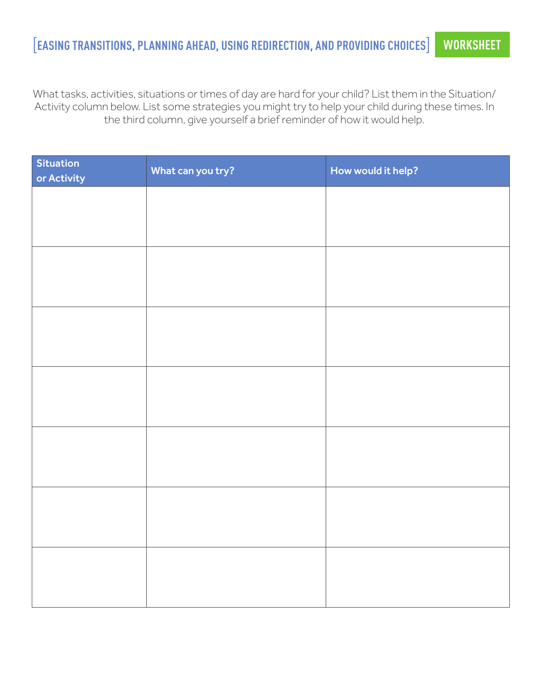### [**EASING TRANSITIONS, PLANNING AHEAD, USING REDIRECTION, AND PROVIDING CHOICES**] **WORKSHEET**

What tasks, activities, situations or times of day are hard for your child? List them in the Situation/ Activity column below. List some strategies you might try to help your child during these times. In the third column, give yourself a brief reminder of how it would help.

| <b>Situation</b><br>or Activity | What can you try? | How would it help? |
|---------------------------------|-------------------|--------------------|
|                                 |                   |                    |
|                                 |                   |                    |
|                                 |                   |                    |
|                                 |                   |                    |
|                                 |                   |                    |
|                                 |                   |                    |
|                                 |                   |                    |
|                                 |                   |                    |
|                                 |                   |                    |
|                                 |                   |                    |
|                                 |                   |                    |
|                                 |                   |                    |
|                                 |                   |                    |
|                                 |                   |                    |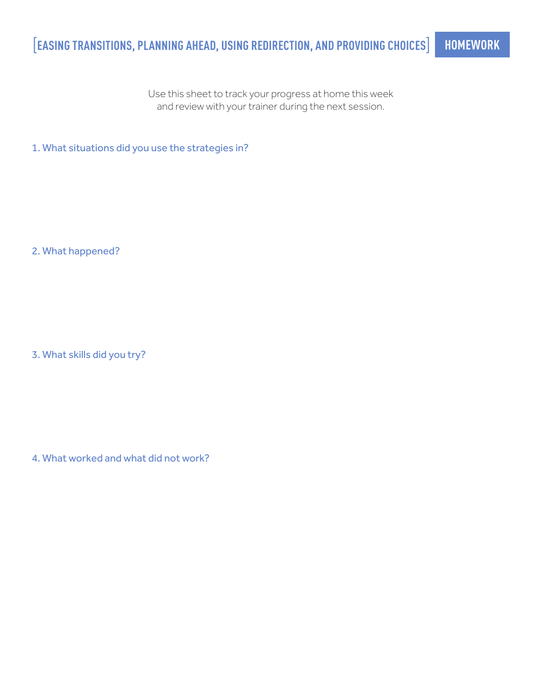Use this sheet to track your progress at home this week and review with your trainer during the next session.

1. What situations did you use the strategies in?

2. What happened?

3. What skills did you try?

4. What worked and what did not work?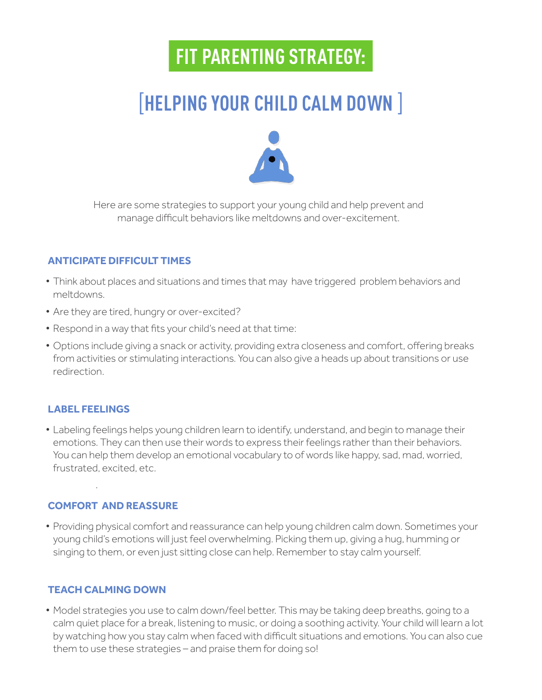### [**HELPING YOUR CHILD CALM DOWN** ]



Here are some strategies to support your young child and help prevent and manage difficult behaviors like meltdowns and over-excitement.

### **ANTICIPATE DIFFICULT TIMES**

- Think about places and situations and times that may have triggered problem behaviors and meltdowns.
- Are they are tired, hungry or over-excited?
- Respond in a way that fts your child's need at that time:
- Options include giving a snack or activity, providing extra closeness and comfort, ofering breaks from activities or stimulating interactions. You can also give a heads up about transitions or use redirection.

#### **LABEL FEELINGS**

• Labeling feelings helps young children learn to identify, understand, and begin to manage their emotions. They can then use their words to express their feelings rather than their behaviors. You can help them develop an emotional vocabulary to of words like happy, sad, mad, worried, frustrated, excited, etc.

#### **COMFORT AND REASSURE**

.

• Providing physical comfort and reassurance can help young children calm down. Sometimes your young child's emotions will just feel overwhelming. Picking them up, giving a hug, humming or singing to them, or even just sitting close can help. Remember to stay calm yourself.

#### **TEACH CALMING DOWN**

• Model strategies you use to calm down/feel better. This may be taking deep breaths, going to a calm quiet place for a break, listening to music, or doing a soothing activity. Your child will learn a lot by watching how you stay calm when faced with difficult situations and emotions. You can also cue them to use these strategies – and praise them for doing so!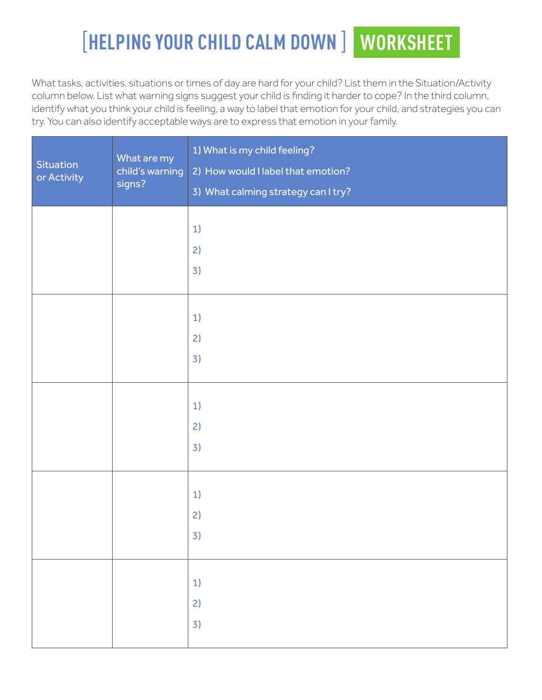### [**HELPING YOUR CHILD CALM DOWN** ] **WORKSHEET**

What tasks, activities, situations or times of day are hard for your child? List them in the Situation/Activity column below. List what warning signs suggest your child is fnding it harder to cope? In the third column, identify what you think your child is feeling, a way to label that emotion for your child, and strategies you can try. You can also identify acceptable ways are to express that emotion in your family.

| Situation<br>or Activity | What are my<br>child's warning<br>signs? | 1) What is my child feeling?<br>2) How would I label that emotion?<br>3) What calming strategy can I try? |
|--------------------------|------------------------------------------|-----------------------------------------------------------------------------------------------------------|
|                          |                                          | 1)                                                                                                        |
|                          |                                          | 2)                                                                                                        |
|                          |                                          | 3)                                                                                                        |
|                          |                                          |                                                                                                           |
|                          |                                          | 1)                                                                                                        |
|                          |                                          | 2)                                                                                                        |
|                          |                                          | 3)                                                                                                        |
|                          |                                          |                                                                                                           |
|                          |                                          | 1)                                                                                                        |
|                          |                                          | 2)                                                                                                        |
|                          |                                          | 3)                                                                                                        |
|                          |                                          |                                                                                                           |
|                          |                                          |                                                                                                           |
|                          |                                          | 1)                                                                                                        |
|                          |                                          | 2)                                                                                                        |
|                          |                                          | 3)                                                                                                        |
|                          |                                          |                                                                                                           |
|                          |                                          | 1)                                                                                                        |
|                          |                                          | 2)                                                                                                        |
|                          |                                          | 3)                                                                                                        |